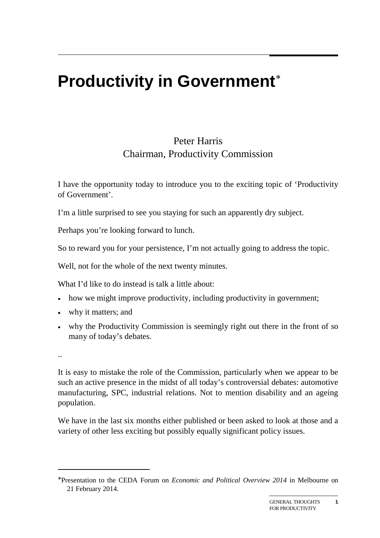## **Productivity in Government**[∗](#page-0-0)

## Peter Harris Chairman, Productivity Commission

I have the opportunity today to introduce you to the exciting topic of 'Productivity of Government'.

I'm a little surprised to see you staying for such an apparently dry subject.

Perhaps you're looking forward to lunch.

So to reward you for your persistence, I'm not actually going to address the topic.

Well, not for the whole of the next twenty minutes.

What I'd like to do instead is talk a little about:

- how we might improve productivity, including productivity in government;
- why it matters; and
- why the Productivity Commission is seemingly right out there in the front of so many of today's debates.

..

-

It is easy to mistake the role of the Commission, particularly when we appear to be such an active presence in the midst of all today's controversial debates: automotive manufacturing, SPC, industrial relations. Not to mention disability and an ageing population.

We have in the last six months either published or been asked to look at those and a variety of other less exciting but possibly equally significant policy issues.

<span id="page-0-0"></span><sup>∗</sup>Presentation to the CEDA Forum on *Economic and Political Overview 2014* in Melbourne on 21 February 2014.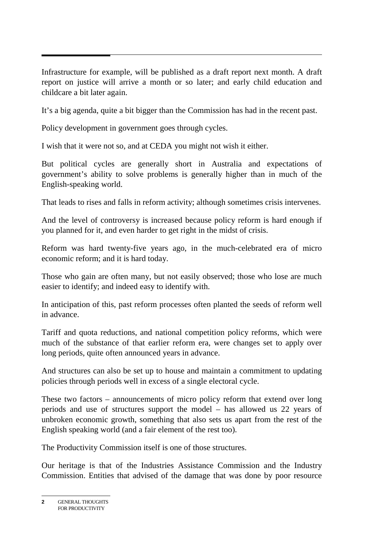Infrastructure for example, will be published as a draft report next month. A draft report on justice will arrive a month or so later; and early child education and childcare a bit later again.

It's a big agenda, quite a bit bigger than the Commission has had in the recent past.

Policy development in government goes through cycles.

I wish that it were not so, and at CEDA you might not wish it either.

But political cycles are generally short in Australia and expectations of government's ability to solve problems is generally higher than in much of the English-speaking world.

That leads to rises and falls in reform activity; although sometimes crisis intervenes.

And the level of controversy is increased because policy reform is hard enough if you planned for it, and even harder to get right in the midst of crisis.

Reform was hard twenty-five years ago, in the much-celebrated era of micro economic reform; and it is hard today.

Those who gain are often many, but not easily observed; those who lose are much easier to identify; and indeed easy to identify with.

In anticipation of this, past reform processes often planted the seeds of reform well in advance.

Tariff and quota reductions, and national competition policy reforms, which were much of the substance of that earlier reform era, were changes set to apply over long periods, quite often announced years in advance.

And structures can also be set up to house and maintain a commitment to updating policies through periods well in excess of a single electoral cycle.

These two factors – announcements of micro policy reform that extend over long periods and use of structures support the model – has allowed us 22 years of unbroken economic growth, something that also sets us apart from the rest of the English speaking world (and a fair element of the rest too).

The Productivity Commission itself is one of those structures.

Our heritage is that of the Industries Assistance Commission and the Industry Commission. Entities that advised of the damage that was done by poor resource

**<sup>2</sup>** GENERAL THOUGHTS FOR PRODUCTIVITY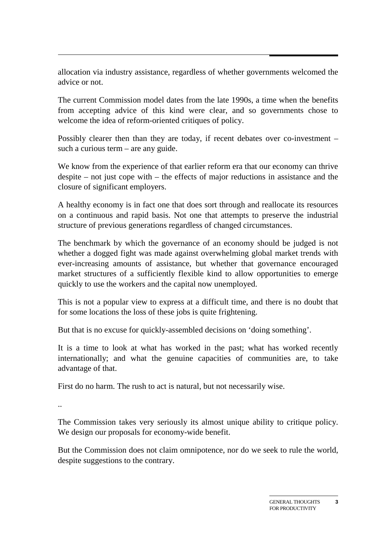allocation via industry assistance, regardless of whether governments welcomed the advice or not.

The current Commission model dates from the late 1990s, a time when the benefits from accepting advice of this kind were clear, and so governments chose to welcome the idea of reform-oriented critiques of policy.

Possibly clearer then than they are today, if recent debates over co-investment – such a curious term – are any guide.

We know from the experience of that earlier reform era that our economy can thrive despite – not just cope with – the effects of major reductions in assistance and the closure of significant employers.

A healthy economy is in fact one that does sort through and reallocate its resources on a continuous and rapid basis. Not one that attempts to preserve the industrial structure of previous generations regardless of changed circumstances.

The benchmark by which the governance of an economy should be judged is not whether a dogged fight was made against overwhelming global market trends with ever-increasing amounts of assistance, but whether that governance encouraged market structures of a sufficiently flexible kind to allow opportunities to emerge quickly to use the workers and the capital now unemployed.

This is not a popular view to express at a difficult time, and there is no doubt that for some locations the loss of these jobs is quite frightening.

But that is no excuse for quickly-assembled decisions on 'doing something'.

It is a time to look at what has worked in the past; what has worked recently internationally; and what the genuine capacities of communities are, to take advantage of that.

First do no harm. The rush to act is natural, but not necessarily wise.

..

The Commission takes very seriously its almost unique ability to critique policy. We design our proposals for economy-wide benefit.

But the Commission does not claim omnipotence, nor do we seek to rule the world, despite suggestions to the contrary.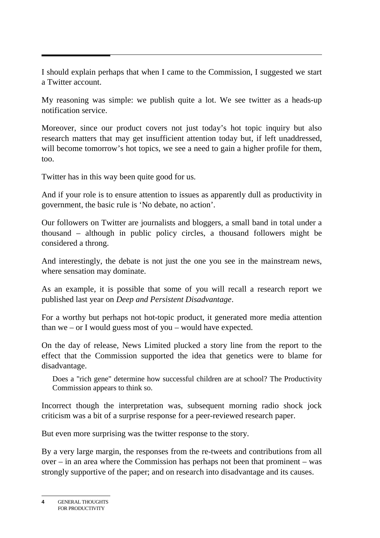I should explain perhaps that when I came to the Commission, I suggested we start a Twitter account.

My reasoning was simple: we publish quite a lot. We see twitter as a heads-up notification service.

Moreover, since our product covers not just today's hot topic inquiry but also research matters that may get insufficient attention today but, if left unaddressed, will become tomorrow's hot topics, we see a need to gain a higher profile for them, too.

Twitter has in this way been quite good for us.

And if your role is to ensure attention to issues as apparently dull as productivity in government, the basic rule is 'No debate, no action'.

Our followers on Twitter are journalists and bloggers, a small band in total under a thousand – although in public policy circles, a thousand followers might be considered a throng.

And interestingly, the debate is not just the one you see in the mainstream news, where sensation may dominate.

As an example, it is possible that some of you will recall a research report we published last year on *Deep and Persistent Disadvantage*.

For a worthy but perhaps not hot-topic product, it generated more media attention than we – or I would guess most of you – would have expected.

On the day of release, News Limited plucked a story line from the report to the effect that the Commission supported the idea that genetics were to blame for disadvantage.

Does a "rich gene" determine how successful children are at school? The Productivity Commission appears to think so.

Incorrect though the interpretation was, subsequent morning radio shock jock criticism was a bit of a surprise response for a peer-reviewed research paper.

But even more surprising was the twitter response to the story.

By a very large margin, the responses from the re-tweets and contributions from all over – in an area where the Commission has perhaps not been that prominent – was strongly supportive of the paper; and on research into disadvantage and its causes.

**<sup>4</sup>** GENERAL THOUGHTS FOR PRODUCTIVITY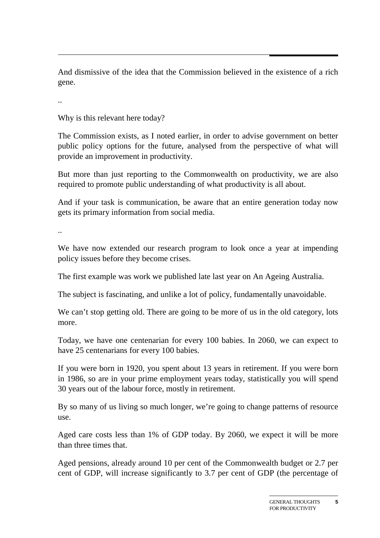And dismissive of the idea that the Commission believed in the existence of a rich gene.

..

Why is this relevant here today?

The Commission exists, as I noted earlier, in order to advise government on better public policy options for the future, analysed from the perspective of what will provide an improvement in productivity.

But more than just reporting to the Commonwealth on productivity, we are also required to promote public understanding of what productivity is all about.

And if your task is communication, be aware that an entire generation today now gets its primary information from social media.

..

We have now extended our research program to look once a year at impending policy issues before they become crises.

The first example was work we published late last year on An Ageing Australia.

The subject is fascinating, and unlike a lot of policy, fundamentally unavoidable.

We can't stop getting old. There are going to be more of us in the old category, lots more.

Today, we have one centenarian for every 100 babies. In 2060, we can expect to have 25 centenarians for every 100 babies.

If you were born in 1920, you spent about 13 years in retirement. If you were born in 1986, so are in your prime employment years today, statistically you will spend 30 years out of the labour force, mostly in retirement.

By so many of us living so much longer, we're going to change patterns of resource use.

Aged care costs less than 1% of GDP today. By 2060, we expect it will be more than three times that.

Aged pensions, already around 10 per cent of the Commonwealth budget or 2.7 per cent of GDP, will increase significantly to 3.7 per cent of GDP (the percentage of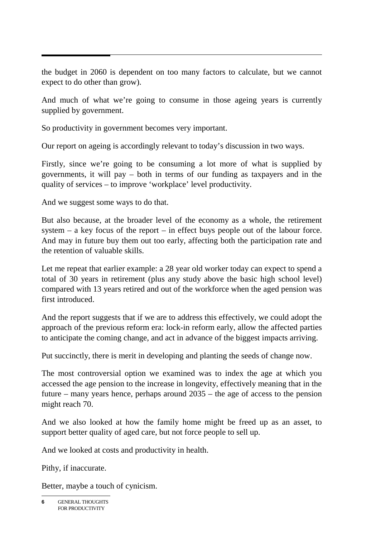the budget in 2060 is dependent on too many factors to calculate, but we cannot expect to do other than grow).

And much of what we're going to consume in those ageing years is currently supplied by government.

So productivity in government becomes very important.

Our report on ageing is accordingly relevant to today's discussion in two ways.

Firstly, since we're going to be consuming a lot more of what is supplied by governments, it will pay – both in terms of our funding as taxpayers and in the quality of services – to improve 'workplace' level productivity.

And we suggest some ways to do that.

But also because, at the broader level of the economy as a whole, the retirement system  $-$  a key focus of the report  $-$  in effect buys people out of the labour force. And may in future buy them out too early, affecting both the participation rate and the retention of valuable skills.

Let me repeat that earlier example: a 28 year old worker today can expect to spend a total of 30 years in retirement (plus any study above the basic high school level) compared with 13 years retired and out of the workforce when the aged pension was first introduced.

And the report suggests that if we are to address this effectively, we could adopt the approach of the previous reform era: lock-in reform early, allow the affected parties to anticipate the coming change, and act in advance of the biggest impacts arriving.

Put succinctly, there is merit in developing and planting the seeds of change now.

The most controversial option we examined was to index the age at which you accessed the age pension to the increase in longevity, effectively meaning that in the future – many years hence, perhaps around 2035 – the age of access to the pension might reach 70.

And we also looked at how the family home might be freed up as an asset, to support better quality of aged care, but not force people to sell up.

And we looked at costs and productivity in health.

Pithy, if inaccurate.

Better, maybe a touch of cynicism.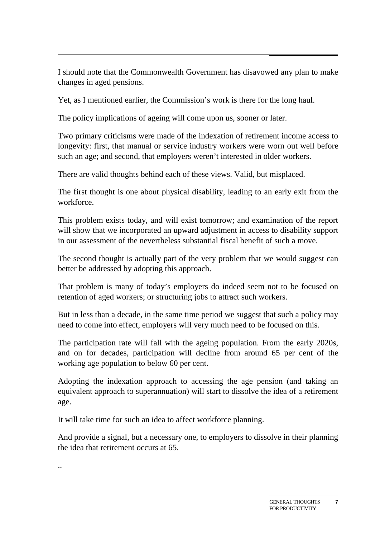I should note that the Commonwealth Government has disavowed any plan to make changes in aged pensions.

Yet, as I mentioned earlier, the Commission's work is there for the long haul.

The policy implications of ageing will come upon us, sooner or later.

Two primary criticisms were made of the indexation of retirement income access to longevity: first, that manual or service industry workers were worn out well before such an age; and second, that employers weren't interested in older workers.

There are valid thoughts behind each of these views. Valid, but misplaced.

The first thought is one about physical disability, leading to an early exit from the workforce.

This problem exists today, and will exist tomorrow; and examination of the report will show that we incorporated an upward adjustment in access to disability support in our assessment of the nevertheless substantial fiscal benefit of such a move.

The second thought is actually part of the very problem that we would suggest can better be addressed by adopting this approach.

That problem is many of today's employers do indeed seem not to be focused on retention of aged workers; or structuring jobs to attract such workers.

But in less than a decade, in the same time period we suggest that such a policy may need to come into effect, employers will very much need to be focused on this.

The participation rate will fall with the ageing population. From the early 2020s, and on for decades, participation will decline from around 65 per cent of the working age population to below 60 per cent.

Adopting the indexation approach to accessing the age pension (and taking an equivalent approach to superannuation) will start to dissolve the idea of a retirement age.

It will take time for such an idea to affect workforce planning.

..

And provide a signal, but a necessary one, to employers to dissolve in their planning the idea that retirement occurs at 65.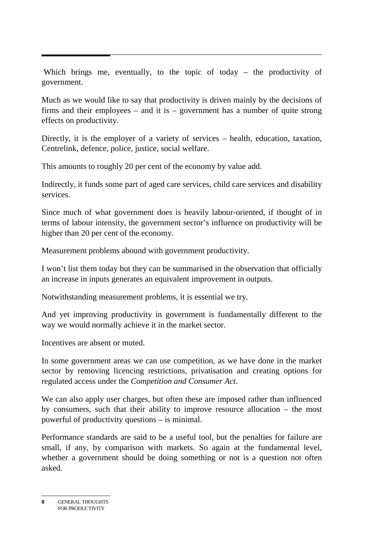Which brings me, eventually, to the topic of today – the productivity of government.

Much as we would like to say that productivity is driven mainly by the decisions of firms and their employees – and it is – government has a number of quite strong effects on productivity.

Directly, it is the employer of a variety of services – health, education, taxation, Centrelink, defence, police, justice, social welfare.

This amounts to roughly 20 per cent of the economy by value add.

Indirectly, it funds some part of aged care services, child care services and disability services.

Since much of what government does is heavily labour-oriented, if thought of in terms of labour intensity, the government sector's influence on productivity will be higher than 20 per cent of the economy.

Measurement problems abound with government productivity.

I won't list them today but they can be summarised in the observation that officially an increase in inputs generates an equivalent improvement in outputs.

Notwithstanding measurement problems, it is essential we try.

And yet improving productivity in government is fundamentally different to the way we would normally achieve it in the market sector.

Incentives are absent or muted.

In some government areas we can use competition, as we have done in the market sector by removing licencing restrictions, privatisation and creating options for regulated access under the *Competition and Consumer Act*.

We can also apply user charges, but often these are imposed rather than influenced by consumers, such that their ability to improve resource allocation – the most powerful of productivity questions – is minimal.

Performance standards are said to be a useful tool, but the penalties for failure are small, if any, by comparison with markets. So again at the fundamental level, whether a government should be doing something or not is a question not often asked.

**<sup>8</sup>** GENERAL THOUGHTS FOR PRODUCTIVITY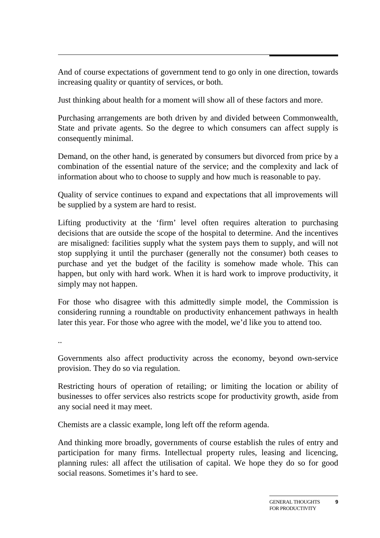And of course expectations of government tend to go only in one direction, towards increasing quality or quantity of services, or both.

Just thinking about health for a moment will show all of these factors and more.

Purchasing arrangements are both driven by and divided between Commonwealth, State and private agents. So the degree to which consumers can affect supply is consequently minimal.

Demand, on the other hand, is generated by consumers but divorced from price by a combination of the essential nature of the service; and the complexity and lack of information about who to choose to supply and how much is reasonable to pay.

Quality of service continues to expand and expectations that all improvements will be supplied by a system are hard to resist.

Lifting productivity at the 'firm' level often requires alteration to purchasing decisions that are outside the scope of the hospital to determine. And the incentives are misaligned: facilities supply what the system pays them to supply, and will not stop supplying it until the purchaser (generally not the consumer) both ceases to purchase and yet the budget of the facility is somehow made whole. This can happen, but only with hard work. When it is hard work to improve productivity, it simply may not happen.

For those who disagree with this admittedly simple model, the Commission is considering running a roundtable on productivity enhancement pathways in health later this year. For those who agree with the model, we'd like you to attend too.

..

Governments also affect productivity across the economy, beyond own-service provision. They do so via regulation.

Restricting hours of operation of retailing; or limiting the location or ability of businesses to offer services also restricts scope for productivity growth, aside from any social need it may meet.

Chemists are a classic example, long left off the reform agenda.

And thinking more broadly, governments of course establish the rules of entry and participation for many firms. Intellectual property rules, leasing and licencing, planning rules: all affect the utilisation of capital. We hope they do so for good social reasons. Sometimes it's hard to see.